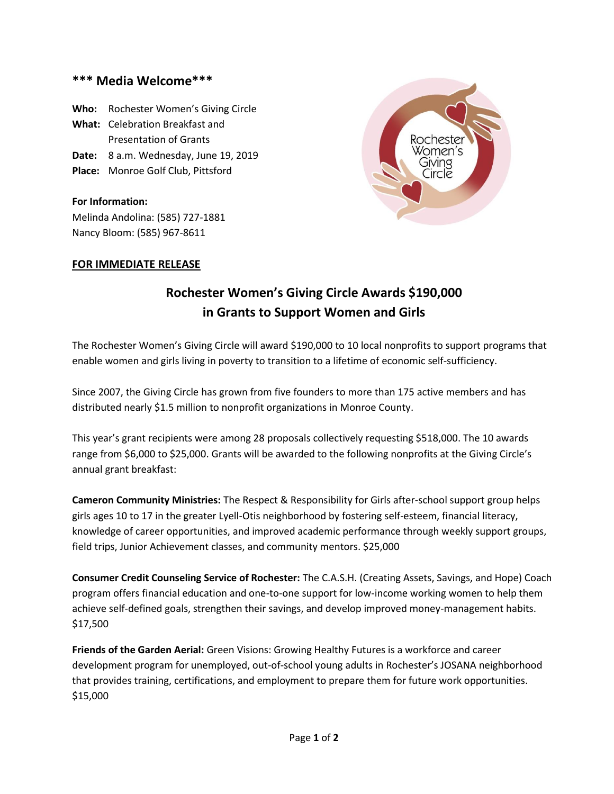## **\*\*\* Media Welcome\*\*\***

**Who:** Rochester Women's Giving Circle **What:** Celebration Breakfast and Presentation of Grants **Date:** 8 a.m. Wednesday, June 19, 2019 **Place:** Monroe Golf Club, Pittsford

**For Information:** Melinda Andolina: (585) 727-1881 Nancy Bloom: (585) 967-8611

## **FOR IMMEDIATE RELEASE**



## **Rochester Women's Giving Circle Awards \$190,000 in Grants to Support Women and Girls**

The Rochester Women's Giving Circle will award \$190,000 to 10 local nonprofits to support programs that enable women and girls living in poverty to transition to a lifetime of economic self-sufficiency.

Since 2007, the Giving Circle has grown from five founders to more than 175 active members and has distributed nearly \$1.5 million to nonprofit organizations in Monroe County.

This year's grant recipients were among 28 proposals collectively requesting \$518,000. The 10 awards range from \$6,000 to \$25,000. Grants will be awarded to the following nonprofits at the Giving Circle's annual grant breakfast:

**Cameron Community Ministries:** The Respect & Responsibility for Girls after-school support group helps girls ages 10 to 17 in the greater Lyell-Otis neighborhood by fostering self-esteem, financial literacy, knowledge of career opportunities, and improved academic performance through weekly support groups, field trips, Junior Achievement classes, and community mentors. \$25,000

**Consumer Credit Counseling Service of Rochester:** The C.A.S.H. (Creating Assets, Savings, and Hope) Coach program offers financial education and one-to-one support for low-income working women to help them achieve self-defined goals, strengthen their savings, and develop improved money-management habits. \$17,500

**Friends of the Garden Aerial:** Green Visions: Growing Healthy Futures is a workforce and career development program for unemployed, out-of-school young adults in Rochester's JOSANA neighborhood that provides training, certifications, and employment to prepare them for future work opportunities. \$15,000